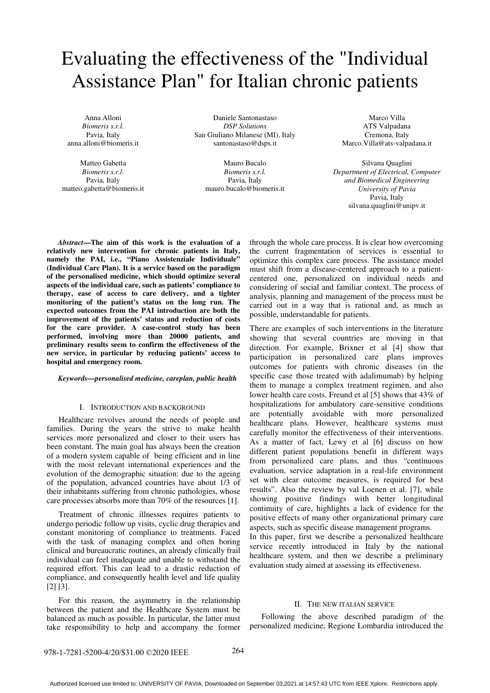# Evaluating the effectiveness of the "Individual Assistance Plan" for Italian chronic patients

Anna Alloni *Biomeris s.r.l.*  Pavia, Italy anna.alloni@biomeris.it

Matteo Gabetta *Biomeris s.r.l.*  Pavia, Italy matteo.gabetta@biomeris.it

Daniele Santonastaso *DSP Solutions*  San Giuliano Milanese (MI), Italy santonastaso@dsps.it

Mauro Bucalo *Biomeris s.r.l.*  Pavia, Italy mauro.bucalo@biomeris.it

Marco Villa ATS Valpadana Cremona, Italy Marco.Villa@ats-valpadana.it

Silvana Quaglini *Department of Electrical, Computer and Biomedical Engineering University of Pavia*  Pavia, Italy silvana.quaglini@unipv.it

*Abstract***—The aim of this work is the evaluation of a relatively new intervention for chronic patients in Italy, namely the PAI, i.e., "Piano Assistenziale Individuale" (Individual Care Plan). It is a service based on the paradigm of the personalised medicine, which should optimize several aspects of the individual care, such as patients' compliance to therapy, ease of access to care delivery, and a tighter monitoring of the patient's status on the long run. The expected outcomes from the PAI introduction are both the improvement of the patients' status and reduction of costs for the care provider. A case-control study has been performed, involving more than 20000 patients, and preliminary results seem to confirm the effectiveness of the new service, in particular by reducing patients' access to hospital and emergency room.** 

### *Keywords—personalised medicine, careplan, public health*

#### I. INTRODUCTION AND BACKGROUND

Healthcare revolves around the needs of people and families. During the years the strive to make health services more personalized and closer to their users has been constant. The main goal has always been the creation of a modern system capable of being efficient and in line with the most relevant international experiences and the evolution of the demographic situation: due to the ageing of the population, advanced countries have about 1/3 of their inhabitants suffering from chronic pathologies, whose care processes absorbs more than 70% of the resources [1].

Treatment of chronic illnesses requires patients to undergo periodic follow up visits, cyclic drug therapies and constant monitoring of compliance to treatments. Faced with the task of managing complex and often boring clinical and bureaucratic routines, an already clinically frail individual can feel inadequate and unable to withstand the required effort. This can lead to a drastic reduction of compliance, and consequently health level and life quality [2] [3].

For this reason, the asymmetry in the relationship between the patient and the Healthcare System must be balanced as much as possible. In particular, the latter must take responsibility to help and accompany the former through the whole care process. It is clear how overcoming the current fragmentation of services is essential to optimize this complex care process. The assistance model must shift from a disease-centered approach to a patientcentered one, personalized on individual needs and considering of social and familiar context. The process of analysis, planning and management of the process must be carried out in a way that is rational and, as much as possible, understandable for patients.

There are examples of such interventions in the literature showing that several countries are moving in that direction. For example, Brixner et al [4] show that participation in personalized care plans improves outcomes for patients with chronic diseases (in the specific case those treated with adalimumab) by helping them to manage a complex treatment regimen, and also lower health care costs. Freund et al [5] shows that 43% of hospitalizations for ambulatory care-sensitive conditions are potentially avoidable with more personalized healthcare plans. However, healthcare systems must carefully monitor the effectiveness of their interventions. As a matter of fact, Lewy et al [6] discuss on how different patient populations benefit in different ways from personalized care plans, and thus "continuous evaluation, service adaptation in a real-life environment set with clear outcome measures, is required for best results". Also the review by val Loenen et al. [7], while showing positive findings with better longitudinal continuity of care, highlights a lack of evidence for the positive effects of many other organizational primary care aspects, such as specific disease management programs.

In this paper, first we describe a personalized healthcare service recently introduced in Italy by the national healthcare system, and then we describe a preliminary evaluation study aimed at assessing its effectiveness.

#### II. THE NEW ITALIAN SERVICE

Following the above described paradigm of the personalized medicine, Regione Lombardia introduced the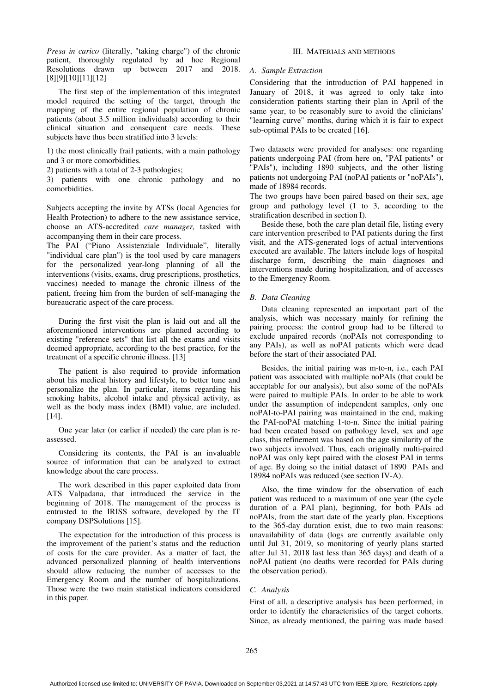*Presa in carico* (literally, "taking charge") of the chronic patient, thoroughly regulated by ad hoc Regional Resolutions drawn up between 2017 and 2018. [8][9][10][11][12]

The first step of the implementation of this integrated model required the setting of the target, through the mapping of the entire regional population of chronic patients (about 3.5 million individuals) according to their clinical situation and consequent care needs. These subjects have thus been stratified into 3 levels:

1) the most clinically frail patients, with a main pathology and 3 or more comorbidities.

2) patients with a total of 2-3 pathologies;

3) patients with one chronic pathology and no comorbidities.

Subjects accepting the invite by ATSs (local Agencies for Health Protection) to adhere to the new assistance service, choose an ATS-accredited *care manager,* tasked with accompanying them in their care process.

The PAI ("Piano Assistenziale Individuale", literally "individual care plan") is the tool used by care managers for the personalized year-long planning of all the interventions (visits, exams, drug prescriptions, prosthetics, vaccines) needed to manage the chronic illness of the patient, freeing him from the burden of self-managing the bureaucratic aspect of the care process.

During the first visit the plan is laid out and all the aforementioned interventions are planned according to existing "reference sets" that list all the exams and visits deemed appropriate, according to the best practice, for the treatment of a specific chronic illness. [13]

The patient is also required to provide information about his medical history and lifestyle, to better tune and personalize the plan. In particular, items regarding his smoking habits, alcohol intake and physical activity, as well as the body mass index (BMI) value, are included. [14].

One year later (or earlier if needed) the care plan is reassessed.

Considering its contents, the PAI is an invaluable source of information that can be analyzed to extract knowledge about the care process.

The work described in this paper exploited data from ATS Valpadana, that introduced the service in the beginning of 2018. The management of the process is entrusted to the IRISS software, developed by the IT company DSPSolutions [15].

The expectation for the introduction of this process is the improvement of the patient's status and the reduction of costs for the care provider. As a matter of fact, the advanced personalized planning of health interventions should allow reducing the number of accesses to the Emergency Room and the number of hospitalizations. Those were the two main statistical indicators considered in this paper.

# III. MATERIALS AND METHODS

# *A. Sample Extraction*

Considering that the introduction of PAI happened in January of 2018, it was agreed to only take into consideration patients starting their plan in April of the same year, to be reasonably sure to avoid the clinicians' "learning curve" months, during which it is fair to expect sub-optimal PAIs to be created [16].

Two datasets were provided for analyses: one regarding patients undergoing PAI (from here on, "PAI patients" or "PAIs"), including 1890 subjects, and the other listing patients not undergoing PAI (noPAI patients or "noPAIs"), made of 18984 records.

The two groups have been paired based on their sex, age group and pathology level (1 to 3, according to the stratification described in section I).

Beside these, both the care plan detail file, listing every care intervention prescribed to PAI patients during the first visit, and the ATS-generated logs of actual interventions executed are available. The latters include logs of hospital discharge form, describing the main diagnoses and interventions made during hospitalization, and of accesses to the Emergency Room.

# *B. Data Cleaning*

Data cleaning represented an important part of the analysis, which was necessary mainly for refining the pairing process: the control group had to be filtered to exclude unpaired records (noPAIs not corresponding to any PAIs), as well as noPAI patients which were dead before the start of their associated PAI.

Besides, the initial pairing was m-to-n, i.e., each PAI patient was associated with multiple noPAIs (that could be acceptable for our analysis), but also some of the noPAIs were paired to multiple PAIs. In order to be able to work under the assumption of independent samples, only one noPAI-to-PAI pairing was maintained in the end, making the PAI-noPAI matching 1-to-n. Since the initial pairing had been created based on pathology level, sex and age class, this refinement was based on the age similarity of the two subjects involved. Thus, each originally multi-paired noPAI was only kept paired with the closest PAI in terms of age. By doing so the initial dataset of 1890 PAIs and 18984 noPAIs was reduced (see section IV-A).

Also, the time window for the observation of each patient was reduced to a maximum of one year (the cycle duration of a PAI plan), beginning, for both PAIs ad noPAIs, from the start date of the yearly plan. Exceptions to the 365-day duration exist, due to two main reasons: unavailability of data (logs are currently available only until Jul 31, 2019, so monitoring of yearly plans started after Jul 31, 2018 last less than 365 days) and death of a noPAI patient (no deaths were recorded for PAIs during the observation period).

# *C. Analysis*

First of all, a descriptive analysis has been performed, in order to identify the characteristics of the target cohorts. Since, as already mentioned, the pairing was made based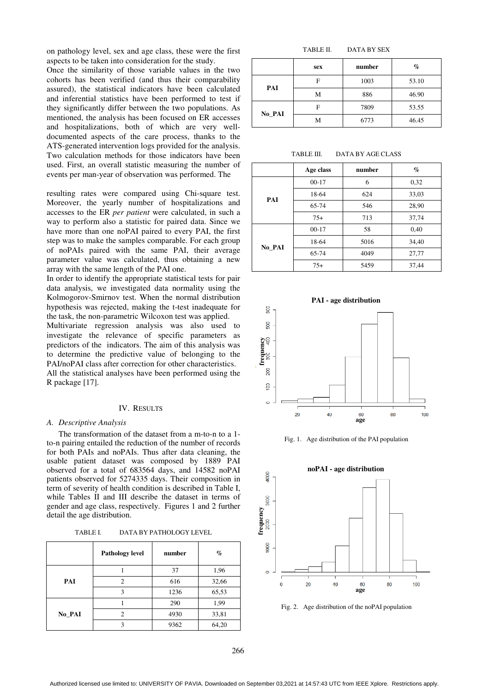on pathology level, sex and age class, these were the first aspects to be taken into consideration for the study.

Once the similarity of those variable values in the two cohorts has been verified (and thus their comparability assured), the statistical indicators have been calculated and inferential statistics have been performed to test if they significantly differ between the two populations. As mentioned, the analysis has been focused on ER accesses and hospitalizations, both of which are very welldocumented aspects of the care process, thanks to the ATS-generated intervention logs provided for the analysis. Two calculation methods for those indicators have been used. First, an overall statistic measuring the number of events per man-year of observation was performed. The generated intervention logs provided for the analysis.<br>calculation methods for those indicators have been<br>First, an overall statistic measuring the number of<br>s per man-year of observation was performed. The<br>ing rates were

resulting rates were compared using Chi Moreover, the yearly number of hospitalizations and accesses to the ER *per patient* were calculated, in such a way to perform also a statistic for paired data. Since we have more than one noPAI paired to every PAI, the first step was to make the samples comparable. For each group of noPAIs paired with the same PAI, their average parameter value was calculated, thus obtaining a new array with the same length of the PAI one. p was to make the samples comparable. For each group noPAIs paired with the same PAI, their average rameter value was calculated, thus obtaining a new ay with the same length of the PAI one. order to identify the appropria

In order to identify the appropriate statistical tests for pair data analysis, we investigated data normality using the Kolmogorov-Smirnov test. When the normal distribution hypothesis was rejected, making the t-test inadequate for hypothesis was rejected, making the tthe task, the non-parametric Wilcoxon test was applied.

Multivariate regression analysis was also used to investigate the relevance of specific parameters as predictors of the indicators. The aim of this analysis was to determine the predictive value of belonging to the PAI/noPAI class after correction for other characteristics. All the statistical analyses have been performed using the R package [17]. parametric Wilcoxon test was applied.<br>
gression analysis was also used to<br>
relevance of specific parameters as<br>
indicators. The aim of this analysis was<br>
e predictive value of belonging to the<br>
after correction for other c

#### IV. RESULTS

#### *A. Descriptive Analysis*

The transformation of the dataset from a m-to-n to a 1to-n pairing entailed the reduction of the number of records for both PAIs and noPAIs. Thus after data cleaning, the usable patient dataset was composed by 1889 PAI to-n pairing entailed the reduction of the number of records<br>for both PAIs and noPAIs. Thus after data cleaning, the<br>usable patient dataset was composed by 1889 PAI<br>observed for a total of 683564 days, and 14582 noPAI patients observed for 5274335 days. Their composition in term of severity of health condition is described in Table I, while Tables II and III describe the dataset in terms of gender and age class, respectively. Figures 1 and 2 further detail the age distribution.

TABLE I. DATA BY PATHOLOGY LEVEL

|        | <b>Pathology level</b> | number | $\%$  |
|--------|------------------------|--------|-------|
|        |                        | 37     | 1,96  |
| PAI    | っ                      | 616    | 32,66 |
|        |                        | 1236   | 65,53 |
|        |                        | 290    | 1,99  |
| No_PAI | 2                      | 4930   | 33,81 |
|        |                        | 9362   | 64,20 |

#### TABLE II. DATA BY SEX

|        | sex | number | $\%$  |
|--------|-----|--------|-------|
| PAI    | F   | 1003   | 53.10 |
|        | М   | 886    | 46.90 |
|        | F   | 7809   | 53.55 |
| No_PAI | М   | 6773   | 46.45 |

TARLE III. DATA BY AGE CLASS

|        | Age class | number | $\mathcal{G}_0$ |
|--------|-----------|--------|-----------------|
|        | $00-17$   | 6      | 0.32            |
| PAI    | 18-64     | 624    | 33,03           |
|        | 65-74     | 546    | 28,90           |
|        | $75+$     | 713    | 37,74           |
|        | $00-17$   | 58     | 0,40            |
|        | 18-64     | 5016   | 34,40           |
| No PAI | 65-74     | 4049   | 27,77           |
|        | $75+$     | 5459   | 37,44           |



Fig. 1. Age distribution of the PAI population



Fig. 2. Age distribution of the noPAI population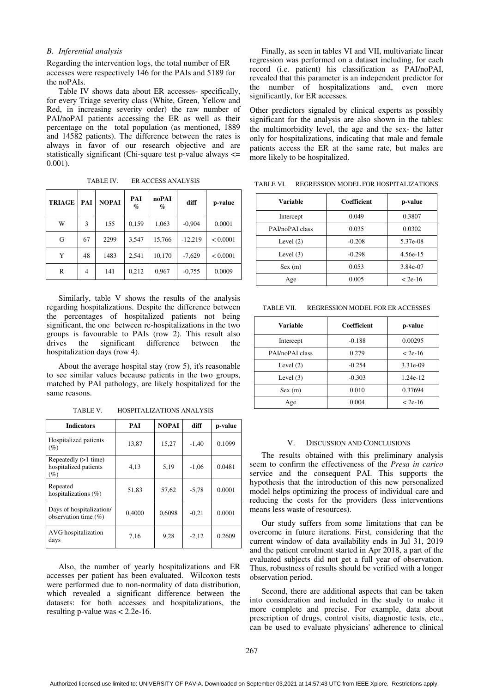# *B. Inferential analysis*

Regarding the intervention logs, the total number of ER accesses were respectively 146 for the PAIs and 5189 for the noPAIs.

Table IV shows data about ER accesses- specifically, for every Triage severity class (White, Green, Yellow and Red, in increasing severity order) the raw number of PAI/noPAI patients accessing the ER as well as their percentage on the total population (as mentioned, 1889 and 14582 patients). The difference between the rates is always in favor of our research objective and are statistically significant (Chi-square test p-value always <= 0.001).

TABLE IV. ER ACCESS ANALYSIS

| <b>TRIAGE</b> | PAI | <b>NOPAI</b> | PAI<br>$\%$ | noPAI<br>$\%$ | diff      | p-value  |
|---------------|-----|--------------|-------------|---------------|-----------|----------|
| W             | 3   | 155          | 0,159       | 1,063         | $-0.904$  | 0.0001   |
| G             | 67  | 2299         | 3,547       | 15,766        | $-12,219$ | < 0.0001 |
| Y             | 48  | 1483         | 2,541       | 10,170        | $-7,629$  | < 0.0001 |
| R             | 4   | 141          | 0,212       | 0,967         | $-0.755$  | 0.0009   |

Similarly, table V shows the results of the analysis regarding hospitalizations. Despite the difference between the percentages of hospitalized patients not being significant, the one between re-hospitalizations in the two groups is favourable to PAIs (row 2). This result also drives the significant difference between the hospitalization days (row 4).

About the average hospital stay (row 5), it's reasonable to see similar values because patients in the two groups, matched by PAI pathology, are likely hospitalized for the same reasons.

TABLE V. HOSPITALIZATIONS ANALYSIS

| <b>Indicators</b>                                       | PAI    | <b>NOPAI</b> | diff    | p-value |
|---------------------------------------------------------|--------|--------------|---------|---------|
| Hospitalized patients<br>$(\%)$                         | 13,87  | 15,27        | $-1,40$ | 0.1099  |
| Repeatedly (>1 time)<br>hospitalized patients<br>$(\%)$ | 4,13   | 5,19         | $-1,06$ | 0.0481  |
| Repeated<br>hospitalizations $(\%)$                     | 51,83  | 57,62        | $-5.78$ | 0.0001  |
| Days of hospitalization/<br>observation time $(\%)$     | 0.4000 | 0.6098       | $-0,21$ | 0.0001  |
| AVG hospitalization<br>days                             | 7,16   | 9,28         | $-2,12$ | 0.2609  |

Also, the number of yearly hospitalizations and ER accesses per patient has been evaluated. Wilcoxon tests were performed due to non-normality of data distribution, which revealed a significant difference between the datasets: for both accesses and hospitalizations, the resulting p-value was < 2.2e-16.

Finally, as seen in tables VI and VII, multivariate linear regression was performed on a dataset including, for each record (i.e. patient) his classification as PAI/noPAI, revealed that this parameter is an independent predictor for the number of hospitalizations and, even more significantly, for ER accesses.

Other predictors signaled by clinical experts as possibly significant for the analysis are also shown in the tables: the multimorbidity level, the age and the sex- the latter only for hospitalizations, indicating that male and female patients access the ER at the same rate, but males are more likely to be hospitalized.

TABLE VI. REGRESSION MODEL FOR HOSPITALIZATIONS

| <b>Variable</b> | Coefficient | p-value   |
|-----------------|-------------|-----------|
| Intercept       | 0.049       | 0.3807    |
| PAI/noPAI class | 0.035       | 0.0302    |
| Level $(2)$     | $-0.208$    | 5.37e-08  |
| Level $(3)$     | $-0.298$    | 4.56e-15  |
| Sex(m)          | 0.053       | 3.84e-07  |
| Age             | 0.005       | $< 2e-16$ |

TABLE VII. REGRESSION MODEL FOR ER ACCESSES

| Variable        | Coefficient | p-value   |
|-----------------|-------------|-----------|
| Intercept       | $-0.188$    | 0.00295   |
| PAI/noPAI class | 0.279       | $< 2e-16$ |
| Level $(2)$     | $-0.254$    | 3.31e-09  |
| Level $(3)$     | $-0.303$    | 1.24e-12  |
| Sex(m)          | 0.010       | 0.37694   |
| Age             | 0.004       | $< 2e-16$ |

#### V. DISCUSSION AND CONCLUSIONS

The results obtained with this preliminary analysis seem to confirm the effectiveness of the *Presa in carico* service and the consequent PAI. This supports the hypothesis that the introduction of this new personalized model helps optimizing the process of individual care and reducing the costs for the providers (less interventions means less waste of resources).

Our study suffers from some limitations that can be overcome in future iterations. First, considering that the current window of data availability ends in Jul 31, 2019 and the patient enrolment started in Apr 2018, a part of the evaluated subjects did not get a full year of observation. Thus, robustness of results should be verified with a longer observation period.

Second, there are additional aspects that can be taken into consideration and included in the study to make it more complete and precise. For example, data about prescription of drugs, control visits, diagnostic tests, etc., can be used to evaluate physicians' adherence to clinical